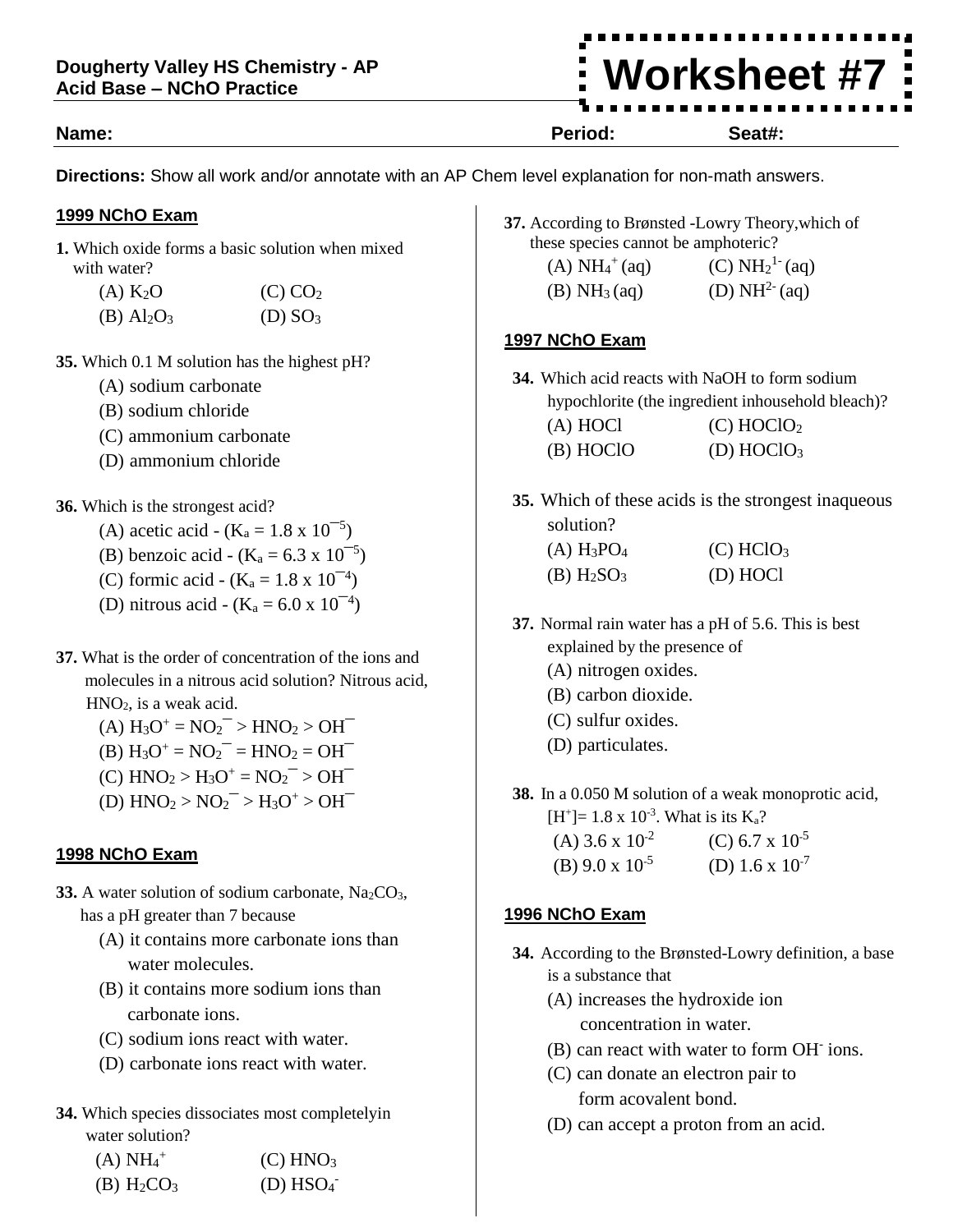### **Name: Period: Seat#:**

**Directions:** Show all work and/or annotate with an AP Chem level explanation for non-math answers.

#### **1999 NChO Exam**

**1.** Which oxide forms a basic solution when mixed with water?

| $(A)$ K <sub>2</sub> O               | $(C)$ $CO2$         |
|--------------------------------------|---------------------|
| $(B)$ Al <sub>2</sub> O <sub>3</sub> | (D) SO <sub>3</sub> |

- **35.** Which 0.1 M solution has the highest pH?
	- (A) sodium carbonate
	- (B) sodium chloride
	- (C) ammonium carbonate
	- (D) ammonium chloride
- **36.** Which is the strongest acid?
	- (A) acetic acid  $(K_a = 1.8 \times 10^{-5})$
	- (B) benzoic acid  $(K_a = 6.3 \times 10^{-5})$
	- (C) formic acid  $(K_a = 1.8 \times 10^{-4})$
	- (D) nitrous acid  $(K_a = 6.0 \times 10^{-4})$
- **37.** What is the order of concentration of the ions and molecules in a nitrous acid solution? Nitrous acid,  $HNO<sub>2</sub>$ , is a weak acid.
	- $(A) H_3O^+ = NO_2^- > HNO_2 > OH^-$
	- (B)  $H_3O^+ = NO_2^- = HNO_2 = OH^-$
	- $(C)$  HNO<sub>2</sub> > H<sub>3</sub>O<sup>+</sup> = NO<sub>2</sub><sup>-</sup> > OH<sup>-</sup>
	- (D)  $HNO<sub>2</sub> > NO<sub>2</sub><sup>-</sup> > H<sub>3</sub>O<sup>+</sup> > OH<sup>-</sup>$

#### **1998 NChO Exam**

- **33.** A water solution of sodium carbonate,  $Na<sub>2</sub>CO<sub>3</sub>$ , has a pH greater than 7 because
	- (A) it contains more carbonate ions than water molecules.
	- (B) it contains more sodium ions than carbonate ions.
	- (C) sodium ions react with water.
	- (D) carbonate ions react with water.
- **34.** Which species dissociates most completelyin water solution?

| $(A) NH4+$                           | $(C)$ HNO <sub>3</sub> |
|--------------------------------------|------------------------|
| $(B)$ H <sub>2</sub> CO <sub>3</sub> | $(D)$ HSO <sub>4</sub> |

- **37.** According to Brønsted -Lowry Theory,which of these species cannot be amphoteric?
	- $(A) NH<sub>4</sub><sup>+</sup>$ (aq)  $(C) NH<sub>2</sub><sup>1-</sup> (aq)$  $(B) NH<sub>3</sub>(aq)$ (D)  $NH^{2-}(aq)$

# **1997 NChO Exam**

- **34.** Which acid reacts with NaOH to form sodium hypochlorite (the ingredient inhousehold bleach)? (A) HOCl  $(C)$  HOClO<sub>2</sub>
	- $(B) HOCIO$   $(D) HOCIO<sub>3</sub>$
- **35.** Which of these acids is the strongest inaqueous solution?

| $(A) H_3PO_4$                        | (C) HClO <sub>3</sub> |
|--------------------------------------|-----------------------|
| $(B)$ H <sub>2</sub> SO <sub>3</sub> | (D) HOCl              |

- **37.** Normal rain water has a pH of 5.6. This is best explained by the presence of
	- (A) nitrogen oxides.
	- (B) carbon dioxide.
	- (C) sulfur oxides.
	- (D) particulates.
- **38.** In a 0.050 M solution of a weak monoprotic acid,  $[H^+] = 1.8 \times 10^{-3}$ . What is its K<sub>a</sub>?

| (A) 3.6 x $10^{-2}$      | (C) 6.7 x $10^{-5}$ |
|--------------------------|---------------------|
| (B) $9.0 \times 10^{-5}$ | (D) 1.6 x $10^{-7}$ |

# **1996 NChO Exam**

- **34.** According to the Brønsted-Lowry definition, a base is a substance that
	- (A) increases the hydroxide ion concentration in water.
	- (B) can react with water to form OH-ions.
	- (C) can donate an electron pair to form acovalent bond.
	- (D) can accept a proton from an acid.